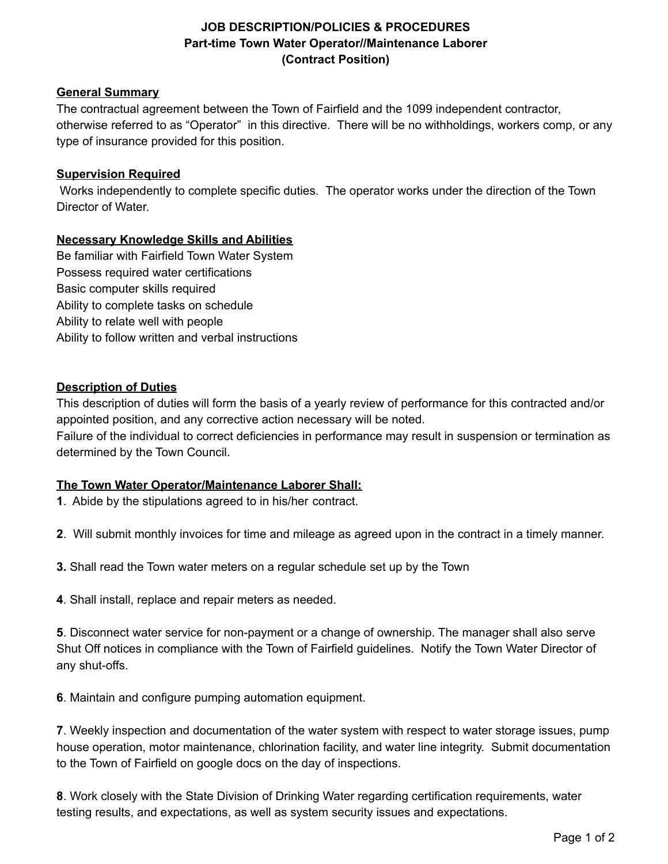# **JOB DESCRIPTION/POLICIES & PROCEDURES Part-time Town Water Operator//Maintenance Laborer (Contract Position)**

#### **General Summary**

The contractual agreement between the Town of Fairfield and the 1099 independent contractor, otherwise referred to as "Operator" in this directive. There will be no withholdings, workers comp, or any type of insurance provided for this position.

#### **Supervision Required**

Works independently to complete specific duties. The operator works under the direction of the Town Director of Water.

## **Necessary Knowledge Skills and Abilities**

Be familiar with Fairfield Town Water System Possess required water certifications Basic computer skills required Ability to complete tasks on schedule Ability to relate well with people Ability to follow written and verbal instructions

## **Description of Duties**

This description of duties will form the basis of a yearly review of performance for this contracted and/or appointed position, and any corrective action necessary will be noted.

Failure of the individual to correct deficiencies in performance may result in suspension or termination as determined by the Town Council.

# **The Town Water Operator/Maintenance Laborer Shall:**

**1**. Abide by the stipulations agreed to in his/her contract.

**2**. Will submit monthly invoices for time and mileage as agreed upon in the contract in a timely manner.

**3.** Shall read the Town water meters on a regular schedule set up by the Town

**4**. Shall install, replace and repair meters as needed.

**5**. Disconnect water service for non-payment or a change of ownership. The manager shall also serve Shut Off notices in compliance with the Town of Fairfield guidelines. Notify the Town Water Director of any shut-offs.

**6**. Maintain and configure pumping automation equipment.

**7**. Weekly inspection and documentation of the water system with respect to water storage issues, pump house operation, motor maintenance, chlorination facility, and water line integrity. Submit documentation to the Town of Fairfield on google docs on the day of inspections.

**8**. Work closely with the State Division of Drinking Water regarding certification requirements, water testing results, and expectations, as well as system security issues and expectations.